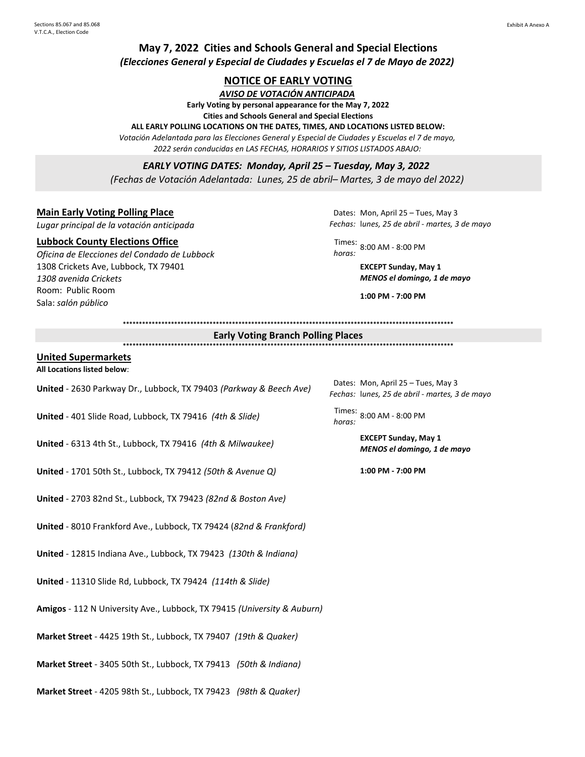## **May 7, 2022 Cities and Schools General and Special Elections** *(Elecciones General y Especial de Ciudades y Escuelas el 7 de Mayo de 2022)*

### **NOTICE OF EARLY VOTING**

*AVISO DE VOTACIÓN ANTICIPADA*

**Early Voting by personal appearance for the May 7, 2022** 

**Cities and Schools General and Special Elections**

**ALL EARLY POLLING LOCATIONS ON THE DATES, TIMES, AND LOCATIONS LISTED BELOW:**

*Votación Adelantada para las Elecciones General y Especial de Ciudades y Escuelas el 7 de mayo, 2022 serán conducidas en LAS FECHAS, HORARIOS Y SITIOS LISTADOS ABAJO:*

*EARLY VOTING DATES: Monday, April 25 – Tuesday, May 3, 2022 (Fechas de Votación Adelantada: Lunes, 25 de abril– Martes, 3 de mayo del 2022)*

### **Main Early Voting Polling Place**

*Lugar principal de la votación anticipada*

#### **Lubbock County Elections Office**

*Oficina de Elecciones del Condado de Lubbock* 1308 Crickets Ave, Lubbock, TX 79401 *1308 avenida Crickets* Room: Public Room Sala: *salón público* 

Dates: Mon, April 25 – Tues, May 3 *Fechas:* l*unes, 25 de abril - martes, 3 de mayo*

Times: *horas:* 8:00 AM - 8:00 PM

**EXCEPT Sunday, May 1** *MENOS el domingo, 1 de mayo*

*Fechas:* l*unes, 25 de abril - martes, 3 de mayo*

*MENOS el domingo, 1 de mayo*

Dates: Mon, April 25 - Tues, May 3

*horas:* 8:00 AM - 8:00 PM

**1:00 PM - 7:00 PM**

**\*\*\*\*\*\*\*\*\*\*\*\*\*\*\*\*\*\*\*\*\*\*\*\*\*\*\*\*\*\*\*\*\*\*\*\*\*\*\*\*\*\*\*\*\*\*\*\*\*\*\*\*\*\*\*\*\*\*\*\*\*\*\*\*\*\*\*\*\*\*\*\*\*\*\*\*\*\*\*\*\*\*\*\*\*\*\*\*\*\*\*\*\*\*\*\*\*\*\*\*\*\*\***

# **Early Voting Branch Polling Places**

**\*\*\*\*\*\*\*\*\*\*\*\*\*\*\*\*\*\*\*\*\*\*\*\*\*\*\*\*\*\*\*\*\*\*\*\*\*\*\*\*\*\*\*\*\*\*\*\*\*\*\*\*\*\*\*\*\*\*\*\*\*\*\*\*\*\*\*\*\*\*\*\*\*\*\*\*\*\*\*\*\*\*\*\*\*\*\*\*\*\*\*\*\*\*\*\*\*\*\*\*\*\*\***

#### **United Supermarkets**

**All Locations listed below**:

| United - 2630 Parkway Dr., Lubbock, TX 79403 (Parkway & Beech Ave) | Dates:  |
|--------------------------------------------------------------------|---------|
|                                                                    | Fechas: |

**United** - 401 Slide Road, Lubbock, TX 79416 *(4th & Slide)* horas:

**United** - 6313 4th St., Lubbock, TX 79416 *(4th & Milwaukee)* **EXCEPT Sunday, May 1**

**United** - 1701 50th St., Lubbock, TX 79412 *(50th & Avenue Q)* **1:00 PM - 7:00 PM**

**United** - 2703 82nd St., Lubbock, TX 79423 *(82nd & Boston Ave)*

**United** - 8010 Frankford Ave., Lubbock, TX 79424 (*82nd & Frankford)*

**United** - 12815 Indiana Ave., Lubbock, TX 79423 *(130th & Indiana)*

**United** - 11310 Slide Rd, Lubbock, TX 79424 *(114th & Slide)*

**Amigos** - 112 N University Ave., Lubbock, TX 79415 *(University & Auburn)*

**Market Street** - 4425 19th St., Lubbock, TX 79407 *(19th & Quaker)* 

**Market Street** - 3405 50th St., Lubbock, TX 79413 *(50th & Indiana)* 

**Market Street** - 4205 98th St., Lubbock, TX 79423 *(98th & Quaker)*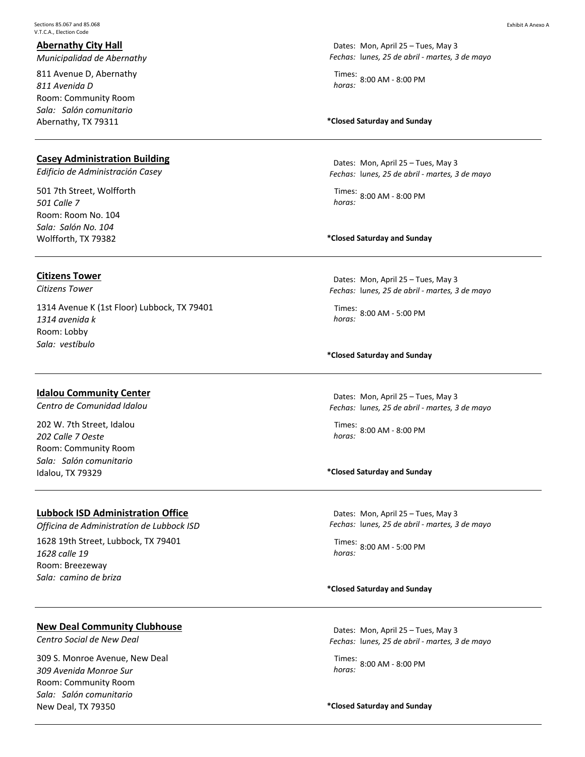### **Abernathy City Hall**

*Municipalidad de Abernathy*

811 Avenue D, Abernathy *811 Avenida D* Room: Community Room *Sala: Salón comunitario* Abernathy, TX 79311

### **Casey Administration Building**

*Edificio de Administración Casey*

501 7th Street, Wolfforth *501 Calle 7* Room: Room No. 104 *Sala: Salón No. 104* Wolfforth, TX 79382

### **Citizens Tower**

*Citizens Tower*

1314 Avenue K (1st Floor) Lubbock, TX 79401 *1314 avenida k* Room: Lobby *Sala: vestíbulo*

### **Idalou Community Center**

*Centro de Comunidad Idalou*

202 W. 7th Street, Idalou *202 Calle 7 Oeste* Room: Community Room *Sala: Salón comunitario* Idalou, TX 79329

### **Lubbock ISD Administration Office**

*Officina de Administratíon de Lubbock ISD* 1628 19th Street, Lubbock, TX 79401 *1628 calle 19* Room: Breezeway *Sala: camino de briza*

Times: *horas:* 8:00 AM - 8:00 PM

### **\*Closed Saturday and Sunday**

Dates: Mon, April 25 – Tues, May 3 *Fechas:* l*unes, 25 de abril - martes, 3 de mayo*

Times: *horas:* 8:00 AM - 8:00 PM

### **\*Closed Saturday and Sunday**

Dates: Mon, April 25 – Tues, May 3 *Fechas:* l*unes, 25 de abril - martes, 3 de mayo*

Times: *horas:* 8:00 AM - 5:00 PM

**\*Closed Saturday and Sunday**

Dates: Mon, April 25 – Tues, May 3 *Fechas:* l*unes, 25 de abril - martes, 3 de mayo*

Times: *horas:* 8:00 AM - 8:00 PM

### **\*Closed Saturday and Sunday**

Dates: Mon, April 25 – Tues, May 3 *Fechas:* l*unes, 25 de abril - martes, 3 de mayo*

Times: *horas:* 8:00 AM - 5:00 PM

#### **\*Closed Saturday and Sunday**

#### **New Deal Community Clubhouse**

*Centro Social de New Deal*

309 S. Monroe Avenue, New Deal *309 Avenida Monroe Sur* Room: Community Room *Sala: Salón comunitario* New Deal, TX 79350 **\*Closed Saturday and Sunday**

Dates: Mon, April 25 – Tues, May 3 *Fechas:* l*unes, 25 de abril - martes, 3 de mayo*

Times: *horas:* 8:00 AM - 8:00 PM